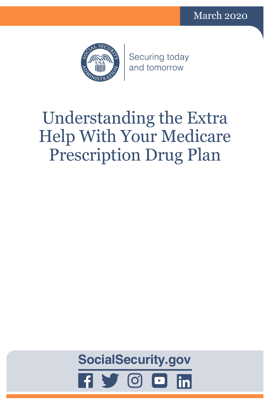

Securing today and tomorrow

# Understanding the Extra Help With Your Medicare Prescription Drug Plan

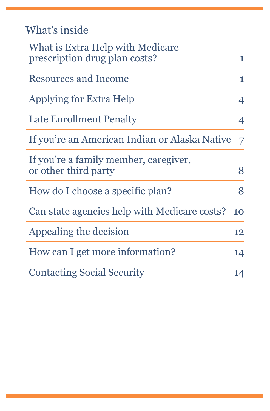| What's inside |  |  |
|---------------|--|--|
|               |  |  |

| What is Extra Help with Medicare<br>prescription drug plan costs? | 1  |
|-------------------------------------------------------------------|----|
| <b>Resources and Income</b>                                       | 1  |
| Applying for Extra Help                                           | 4  |
| Late Enrollment Penalty                                           | 4  |
| If you're an American Indian or Alaska Native                     | 7  |
| If you're a family member, caregiver,<br>or other third party     | 8  |
| How do I choose a specific plan?                                  | 8  |
| Can state agencies help with Medicare costs?                      | 10 |
| Appealing the decision                                            | 12 |
| How can I get more information?                                   | 14 |
| <b>Contacting Social Security</b>                                 | 14 |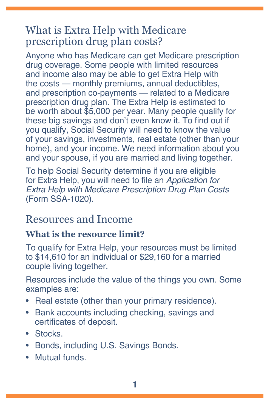## <span id="page-4-0"></span>What is Extra Help with Medicare prescription drug plan costs?

Anyone who has Medicare can get Medicare prescription drug coverage. Some people with limited resources and income also may be able to get Extra Help with the costs — monthly premiums, annual deductibles, and prescription co-payments — related to a Medicare prescription drug plan. The Extra Help is estimated to be worth about \$5,000 per year. Many people qualify for these big savings and don't even know it. To find out if you qualify, Social Security will need to know the value of your savings, investments, real estate (other than your home), and your income. We need information about you and your spouse, if you are married and living together.

To help Social Security determine if you are eligible for Extra Help, you will need to file an *[Application for](https://secure.ssa.gov/i1020/start)  [Extra Help with Medicare Prescription Drug Plan Costs](https://secure.ssa.gov/i1020/start)*  [\(Form SSA-1020\)](https://secure.ssa.gov/i1020/start).

## <span id="page-4-1"></span>Resources and Income

#### **What is the resource limit?**

To qualify for Extra Help, your resources must be limited to \$14,610 for an individual or \$29,160 for a married couple living together.

Resources include the value of the things you own. Some examples are:

- Real estate (other than your primary residence).
- Bank accounts including checking, savings and certificates of deposit.
- Stocks.
- Bonds, including U.S. Savings Bonds.
- Mutual funds.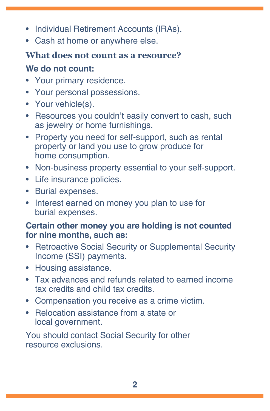- Individual Retirement Accounts (IRAs).
- Cash at home or anywhere else.

## **What does not count as a resource?**

## **We do not count:**

- Your primary residence.
- Your personal possessions.
- Your vehicle(s).
- Resources you couldn't easily convert to cash, such as jewelry or home furnishings.
- Property you need for self-support, such as rental property or land you use to grow produce for home consumption.
- Non-business property essential to your self-support.
- Life insurance policies.
- Burial expenses.
- Interest earned on money you plan to use for burial expenses.

## **Certain other money you are holding is not counted for nine months, such as:**

- Retroactive Social Security or Supplemental Security Income (SSI) payments.
- Housing assistance.
- Tax advances and refunds related to earned income tax credits and child tax credits.
- Compensation you receive as a crime victim.
- Relocation assistance from a state or local government.

You should contact Social Security for other resource exclusions.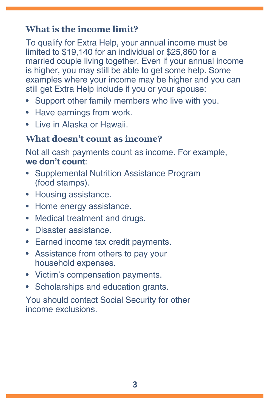## **What is the income limit?**

To qualify for Extra Help, your annual income must be limited to \$19,140 for an individual or \$25,860 for a married couple living together. Even if your annual income is higher, you may still be able to get some help. Some examples where your income may be higher and you can still get Extra Help include if you or your spouse:

- Support other family members who live with you.
- Have earnings from work.
- Live in Alaska or Hawaii.

## **What doesn't count as income?**

Not all cash payments count as income. For example, **we don't count**:

- Supplemental Nutrition Assistance Program (food stamps).
- Housing assistance.
- Home energy assistance.
- Medical treatment and drugs.
- Disaster assistance.
- Earned income tax credit payments.
- Assistance from others to pay your household expenses.
- Victim's compensation payments.
- Scholarships and education grants.

You should contact Social Security for other income exclusions.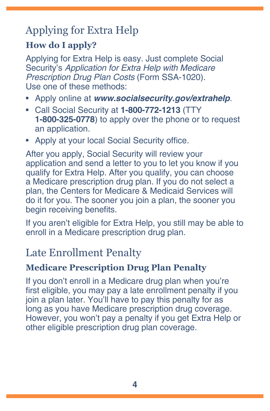## <span id="page-7-0"></span>Applying for Extra Help

## **How do I apply?**

Applying for Extra Help is easy. Just complete Social Security's *[Application for Extra Help with Medicare](https://secure.ssa.gov/i1020/start)  [Prescription Drug Plan Costs](https://secure.ssa.gov/i1020/start)* (Form SSA-1020). Use one of these methods:

- Apply online at *[www.socialsecurity.gov/extrahelp](https://www.socialsecurity.gov/extrahelp)*.
- Call Social Security at **1-800-772-1213** (TTY **1-800-325-0778**) to apply over the phone or to request an application.
- Apply at your local Social Security office.

After you apply, Social Security will review your application and send a letter to you to let you know if you qualify for Extra Help. After you qualify, you can choose a Medicare prescription drug plan. If you do not select a plan, the Centers for Medicare & Medicaid Services will do it for you. The sooner you join a plan, the sooner you begin receiving benefits.

If you aren't eligible for Extra Help, you still may be able to enroll in a Medicare prescription drug plan.

## Late Enrollment Penalty

## **Medicare Prescription Drug Plan Penalty**

If you don't enroll in a Medicare drug plan when you're first eligible, you may pay a late enrollment penalty if you join a plan later. You'll have to pay this penalty for as long as you have Medicare prescription drug coverage. However, you won't pay a penalty if you get Extra Help or other eligible prescription drug plan coverage.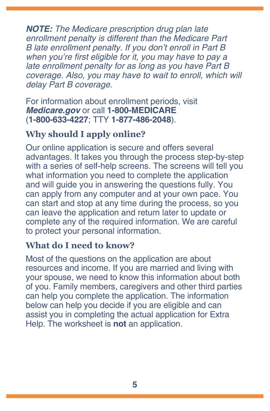*NOTE: The Medicare prescription drug plan late enrollment penalty is different than the Medicare Part B late enrollment penalty. If you don't enroll in Part B*  when you're first eligible for it, you may have to pay a late enrollment penalty for as long as you have Part B coverage. Also, you may have to wait to enroll, which will delay Part B coverage.

For information about enrollment periods, visit *M[edicare.gov](https://www.medicare.gov)* or call **1-800-MEDICARE** (**1-800-633-4227**; TTY **1-877-486-2048**).

## **Why should I apply online?**

Our online application is secure and offers several advantages. It takes you through the process step-by-step with a series of self-help screens. The screens will tell you what information you need to complete the application and will guide you in answering the questions fully. You can apply from any computer and at your own pace. You can start and stop at any time during the process, so you can leave the application and return later to update or complete any of the required information. We are careful to protect your personal information.

#### **What do I need to know?**

Most of the questions on the application are about resources and income. If you are married and living with your spouse, we need to know this information about both of you. Family members, caregivers and other third parties can help you complete the application. The information below can help you decide if you are eligible and can assist you in completing the actual application for Extra Help. The worksheet is **not** an application.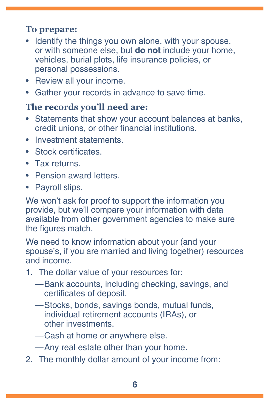## <span id="page-9-0"></span>**To prepare:**

- Identify the things you own alone, with your spouse, or with someone else, but **do not** include your home, vehicles, burial plots, life insurance policies, or personal possessions.
- Review all your income.
- Gather your records in advance to save time.

## <span id="page-9-1"></span>**The records you'll need are:**

- Statements that show your account balances at banks, credit unions, or other financial institutions.
- Investment statements.
- Stock certificates.
- Tax returns.
- Pension award letters.
- Payroll slips.

We won't ask for proof to support the information you provide, but we'll compare your information with data available from other government agencies to make sure the figures match.

We need to know information about your (and your spouse's, if you are married and living together) resources and income.

- 1. The dollar value of your resources for:
	- —Bank accounts, including checking, savings, and certificates of deposit.
	- —Stocks, bonds, savings bonds, mutual funds, individual retirement accounts (IRAs), or other investments.
	- —Cash at home or anywhere else.
	- —Any real estate other than your home.
- 2. The monthly dollar amount of your income from: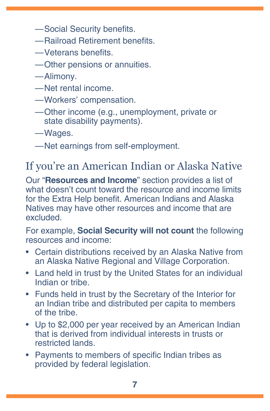- <span id="page-10-0"></span>—Social Security benefits.
- —Railroad Retirement benefits.
- —Veterans benefits.
- —Other pensions or annuities.

—Alimony.

- —Net rental income.
- —Workers' compensation.
- —Other income (e.g., unemployment, private or state disability payments).

—Wages.

—Net earnings from self-employment.

## If you're an American Indian or Alaska Native

Our "**[Resources and Income](#page-4-1)**" section provides a list of what doesn't count toward the resource and income limits for the Extra Help benefit. American Indians and Alaska Natives may have other resources and income that are excluded.

For example, **Social Security will not count** the following resources and income:

- Certain distributions received by an Alaska Native from an Alaska Native Regional and Village Corporation.
- Land held in trust by the United States for an individual Indian or tribe.
- Funds held in trust by the Secretary of the Interior for an Indian tribe and distributed per capita to members of the tribe.
- Up to \$2,000 per year received by an American Indian that is derived from individual interests in trusts or restricted lands.
- Payments to members of specific Indian tribes as provided by federal legislation.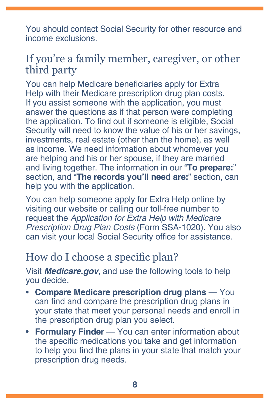<span id="page-11-0"></span>You should contact Social Security for other resource and income exclusions.

## If you're a family member, caregiver, or other third party

You can help Medicare beneficiaries apply for Extra Help with their Medicare prescription drug plan costs. If you assist someone with the application, you must answer the questions as if that person were completing the application. To find out if someone is eligible, Social Security will need to know the value of his or her savings, investments, real estate (other than the home), as well as income. We need information about whomever you are helping and his or her spouse, if they are married and living together. The information in our "**[To prepare:](#page-9-0)**" section, and "**[The records you'll need are:](#page-9-1)**" section, can help you with the application.

You can help someone apply for Extra Help online by visiting our website or calling our toll-free number to request the *[Application for Extra Help with Medicare](https://secure.ssa.gov/i1020/start)  [Prescription Drug Plan Costs](https://secure.ssa.gov/i1020/start)* (Form SSA-1020). You also can visit your local Social Security office for assistance.

## How do I choose a specific plan?

Visit *M[edicare.gov](https://www.medicare.gov)*, and use the following tools to help you decide.

- **Compare Medicare prescription drug plans** You can find and compare the prescription drug plans in your state that meet your personal needs and enroll in the prescription drug plan you select.
- **Formulary Finder**  You can enter information about the specific medications you take and get information to help you find the plans in your state that match your prescription drug needs.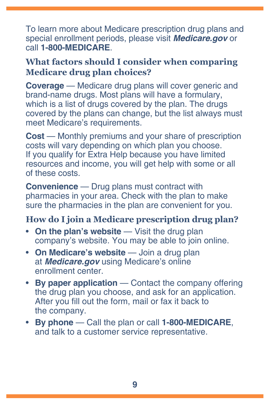To learn more about Medicare prescription drug plans and special enrollment periods, please visit *[Medicare.gov](https://www.medicare.gov)* or call **1-800-MEDICARE**.

#### **What factors should I consider when comparing Medicare drug plan choices?**

**Coverage** — Medicare drug plans will cover generic and brand-name drugs. Most plans will have a formulary, which is a list of drugs covered by the plan. The drugs covered by the plans can change, but the list always must meet Medicare's requirements.

**Cost** — Monthly premiums and your share of prescription costs will vary depending on which plan you choose. If you qualify for Extra Help because you have limited resources and income, you will get help with some or all of these costs.

**Convenience** — Drug plans must contract with pharmacies in your area. Check with the plan to make sure the pharmacies in the plan are convenient for you.

## **How do I join a Medicare prescription drug plan?**

- **On the plan's website** Visit the drug plan company's website. You may be able to join online.
- **On Medicare's website** Join a drug plan at *[Medicare.gov](https://www.medicare.gov)* using Medicare's online enrollment center.
- **By paper application** Contact the company offering the drug plan you choose, and ask for an application. After you fill out the form, mail or fax it back to the company.
- **By phone** Call the plan or call **1-800-MEDICARE**, and talk to a customer service representative.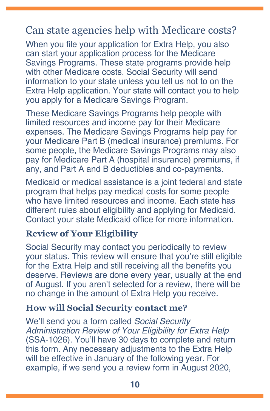## <span id="page-13-0"></span>Can state agencies help with Medicare costs?

When you file your application for Extra Help, you also can start your application process for the Medicare Savings Programs. These state programs provide help with other Medicare costs. Social Security will send information to your state unless you tell us not to on the Extra Help application. Your state will contact you to help you apply for a Medicare Savings Program.

These Medicare Savings Programs help people with limited resources and income pay for their Medicare expenses. The Medicare Savings Programs help pay for your Medicare Part B (medical insurance) premiums. For some people, the Medicare Savings Programs may also pay for Medicare Part A (hospital insurance) premiums, if any, and Part A and B deductibles and co-payments.

Medicaid or medical assistance is a joint federal and state program that helps pay medical costs for some people who have limited resources and income. Each state has different rules about eligibility and applying for Medicaid. Contact your state Medicaid office for more information.

#### **Review of Your Eligibility**

Social Security may contact you periodically to review your status. This review will ensure that you're still eligible for the Extra Help and still receiving all the benefits you deserve. Reviews are done every year, usually at the end of August. If you aren't selected for a review, there will be no change in the amount of Extra Help you receive.

#### **How will Social Security contact me?**

We'll send you a form called *[Social Security](https://www.socialsecurity.gov/prescriptionhelp/SSA-1026B-OCR-SM-INST.pdf)*  [Administration Review of Your Eligibility for Extra Help](https://www.socialsecurity.gov/prescriptionhelp/SSA-1026B-OCR-SM-INST.pdf)  [\(SSA-1026\)](https://www.socialsecurity.gov/prescriptionhelp/SSA-1026B-OCR-SM-INST.pdf). You'll have 30 days to complete and return this form. Any necessary adjustments to the Extra Help will be effective in January of the following year. For example, if we send you a review form in August 2020,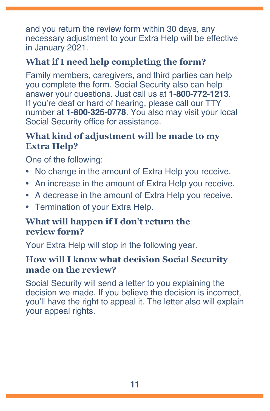and you return the review form within 30 days, any necessary adjustment to your Extra Help will be effective in January 2021.

## **What if I need help completing the form?**

Family members, caregivers, and third parties can help you complete the form. Social Security also can help answer your questions. Just call us at **1-800-772-1213**. If you're deaf or hard of hearing, please call our TTY number at **1-800-325-0778**. You also may visit your local Social Security office for assistance.

## **What kind of adjustment will be made to my Extra Help?**

One of the following:

- No change in the amount of Extra Help you receive.
- An increase in the amount of Extra Help you receive.
- A decrease in the amount of Extra Help you receive.
- Termination of your Extra Help.

## **What will happen if I don't return the review form?**

Your Extra Help will stop in the following year.

## **How will I know what decision Social Security made on the review?**

Social Security will send a letter to you explaining the decision we made. If you believe the decision is incorrect, you'll have the right to appeal it. The letter also will explain your appeal rights.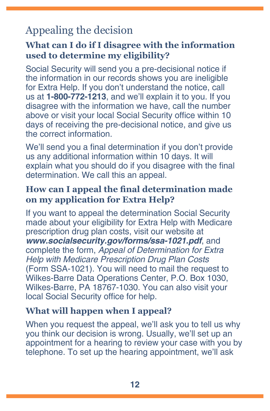## <span id="page-15-0"></span>Appealing the decision

#### **What can I do if I disagree with the information used to determine my eligibility?**

Social Security will send you a pre-decisional notice if the information in our records shows you are ineligible for Extra Help. If you don't understand the notice, call us at **1-800-772-1213**, and we'll explain it to you. If you disagree with the information we have, call the number above or visit your local Social Security office within 10 days of receiving the pre-decisional notice, and give us the correct information.

We'll send you a final determination if you don't provide us any additional information within 10 days. It will explain what you should do if you disagree with the final determination. We call this an appeal.

## **How can I appeal the final determination made on my application for Extra Help?**

If you want to appeal the determination Social Security made about your eligibility for Extra Help with Medicare prescription drug plan costs, visit our website at *[www.socialsecurity.gov/forms/ssa-1021.pdf](https://www.socialsecurity.gov/forms/ssa-1021.pdf)*, and complete the form, *[Appeal of Determination for Extra](https://www.ssa.gov/forms/ssa-1021.pdf)  [Help with Medicare Prescription Drug Plan Costs](https://www.ssa.gov/forms/ssa-1021.pdf)* [\(Form SSA-1021\)](https://www.ssa.gov/forms/ssa-1021.pdf). You will need to mail the request to Wilkes-Barre Data Operations Center, P.O. Box 1030, Wilkes-Barre, PA 18767-1030. You can also visit your local Social Security office for help.

#### **What will happen when I appeal?**

When you request the appeal, we'll ask you to tell us why you think our decision is wrong. Usually, we'll set up an appointment for a hearing to review your case with you by telephone. To set up the hearing appointment, we'll ask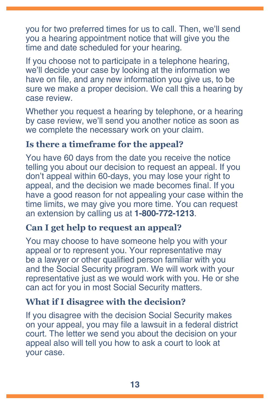you for two preferred times for us to call. Then, we'll send you a hearing appointment notice that will give you the time and date scheduled for your hearing.

If you choose not to participate in a telephone hearing, we'll decide your case by looking at the information we have on file, and any new information you give us, to be sure we make a proper decision. We call this a hearing by case review.

Whether you request a hearing by telephone, or a hearing by case review, we'll send you another notice as soon as we complete the necessary work on your claim.

#### **Is there a timeframe for the appeal?**

You have 60 days from the date you receive the notice telling you about our decision to request an appeal. If you don't appeal within 60-days, you may lose your right to appeal, and the decision we made becomes final. If you have a good reason for not appealing your case within the time limits, we may give you more time. You can request an extension by calling us at **1-800-772-1213**.

#### **Can I get help to request an appeal?**

You may choose to have someone help you with your appeal or to represent you. Your representative may be a lawyer or other qualified person familiar with you and the Social Security program. We will work with your representative just as we would work with you. He or she can act for you in most Social Security matters.

#### **What if I disagree with the decision?**

If you disagree with the decision Social Security makes on your appeal, you may file a lawsuit in a federal district court. The letter we send you about the decision on your appeal also will tell you how to ask a court to look at your case.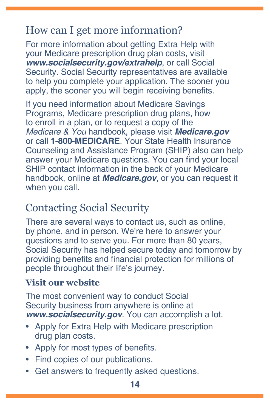## <span id="page-17-0"></span>How can I get more information?

For more information about getting Extra Help with your Medicare prescription drug plan costs, visit *[www.socialsecurity.gov/extrahelp](https://www.socialsecurity.gov/extrahelp)*, or call Social Security. Social Security representatives are available to help you complete your application. The sooner you apply, the sooner you will begin receiving benefits.

If you need information about Medicare Savings Programs, Medicare prescription drug plans, how to enroll in a plan, or to request a copy of the [Medicare & You](https://www.medicare.gov/pubs/pdf/10050-Medicare-and-You.pdf) handbook, please visit *[Medicare.gov](https://www.medicare.gov/)* or call **1-800-MEDICARE**. Your State Health Insurance Counseling and Assistance Program (SHIP) also can help answer your Medicare questions. You can find your local SHIP contact information in the back of your Medicare handbook, online at *M[edicare.gov](https://www.medicare.gov/)*, or you can request it when you call.

## Contacting Social Security

There are several ways to contact us, such as online, by phone, and in person. We're here to answer your questions and to serve you. For more than 80 years, Social Security has helped secure today and tomorrow by providing benefits and financial protection for millions of people throughout their life's journey.

## **Visit our website**

The most convenient way to conduct Social Security business from anywhere is online at *[www.socialsecurity.gov](https://socialsecurity.gov)*. You can accomplish a lot.

- [Apply for Extra Help with Medicare prescription](https://www.ssa.gov/i1020/)  [drug plan costs](https://www.ssa.gov/i1020/).
- [Apply for most types of benefits.](https://www.ssa.gov/benefits/forms/)
- [Find copies of our publications](https://socialsecurity.gov/pubs).
- [Get answers to frequently asked questions.](https://faq.ssa.gov)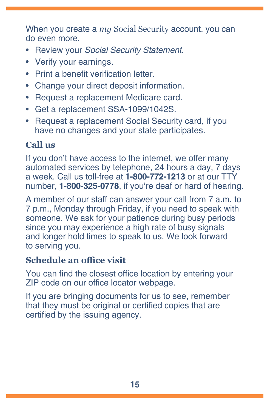When you create a *my* [Social Security](https://www.socialsecurity.gov/myaccount) account, you can do even more.

- Review your *[Social Security Statement](https://www.ssa.gov/myaccount/statement.html)*.
- [Verify your earnings.](https://faq.ssa.gov/en-us/Topic/article/KA-01741)
- [Print a benefit verification letter](https://www.ssa.gov/myaccount/proof-of-benefits.html).
- [Change your direct deposit information](https://www.ssa.gov/myaccount/direct-deposit.html).
- [Request a replacement Medicare card](https://faq.ssa.gov/en-us/Topic/article/KA-01735).
- Get a replacement [SSA-1099/1042S.](https://www.ssa.gov/myaccount/replacement-SSA-1099.html)
- Request a [replacement Social Security card](https://www.ssa.gov/myaccount/replacement-card.html), if you have no changes and your state participates.

## **Call us**

If you don't have access to the internet, we offer many automated services by telephone, 24 hours a day, 7 days a week. Call us toll-free at **1-800-772-1213** or at our TTY number, **1-800-325-0778**, if you're deaf or hard of hearing.

A member of our staff can answer your call from 7 a.m. to 7 p.m., Monday through Friday, if you need to speak with someone. We ask for your patience during busy periods since you may experience a high rate of busy signals and longer hold times to speak to us. We look forward to serving you.

## **Schedule an office visit**

You can find the closest office location by entering your ZIP code on our [office locator](https://secure.ssa.gov/ICON/main.jsp) webpage.

If you are bringing documents for us to see, remember that they must be original or certified copies that are certified by the issuing agency.